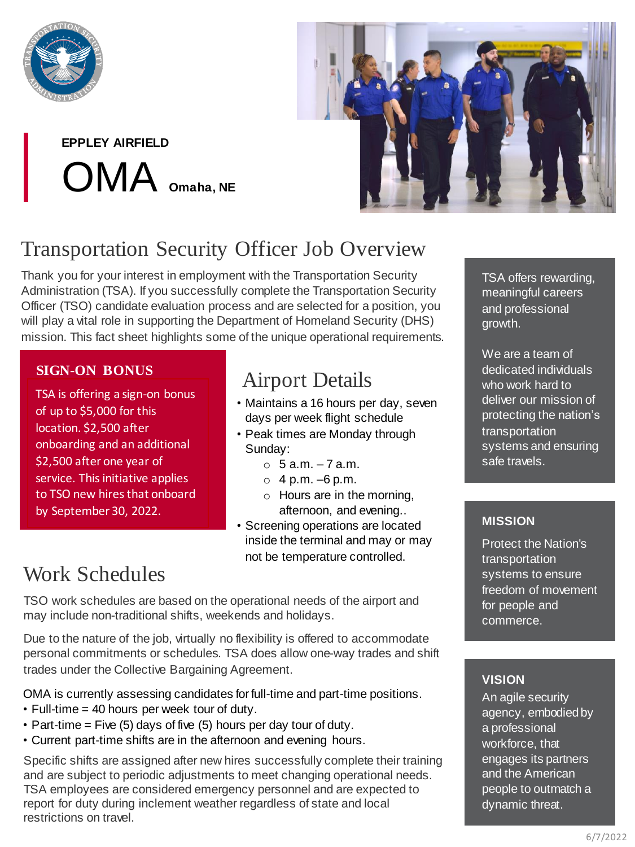

**EPPLEY AIRFIELD** OMA **Omaha, NE**



# Transportation Security Officer Job Overview

Thank you for your interest in employment with the Transportation Security Administration (TSA). If you successfully complete the Transportation Security Officer (TSO) candidate evaluation process and are selected for a position, you will play a vital role in supporting the Department of Homeland Security (DHS) mission. This fact sheet highlights some of the unique operational requirements.

### **SIGN-ON BONUS**

TSA is offering a sign-on TSA is offering a sign-on bonus<br>
TSA is of 2005 for the sign of up to \$5,000 for this  $location.$  \$2,500 after onboarding and an additional \$2,500 after one year of service. This initiative applies to TSO new hires that onboard by September 30, 2022.

## Airport Details

- Maintains a 16 hours per day, seven days per week flight schedule
- Peak times are Monday through Sunday:
	- $\circ$  5 a.m.  $-7$  a.m.
	- $0.4$  p.m.  $-6$  p.m.
	- o Hours are in the morning, afternoon, and evening..
- Screening operations are located inside the terminal and may or may not be temperature controlled.

## Work Schedules

TSO work schedules are based on the operational needs of the airport and may include non-traditional shifts, weekends and holidays.

Due to the nature of the job, virtually no flexibility is offered to accommodate personal commitments or schedules. TSA does allow one-way trades and shift trades under the Collective Bargaining Agreement.

OMA is currently assessing candidates for full-time and part-time positions.

- Full-time = 40 hours per week tour of duty.
- Part-time  $=$  Five (5) days of five (5) hours per day tour of duty.
- Current part-time shifts are in the afternoon and evening hours.

Specific shifts are assigned after new hires successfully complete their training and are subject to periodic adjustments to meet changing operational needs. TSA employees are considered emergency personnel and are expected to report for duty during inclement weather regardless of state and local restrictions on travel.

TSA offers rewarding, meaningful careers and professional growth.

We are a team of dedicated individuals who work hard to deliver our mission of protecting the nation's transportation systems and ensuring safe travels.

### **MISSION**

Protect the Nation's transportation systems to ensure freedom of movement for people and commerce.

### **VISION**

An agile security agency, embodied by a professional workforce, that engages its partners and the American people to outmatch a dynamic threat.